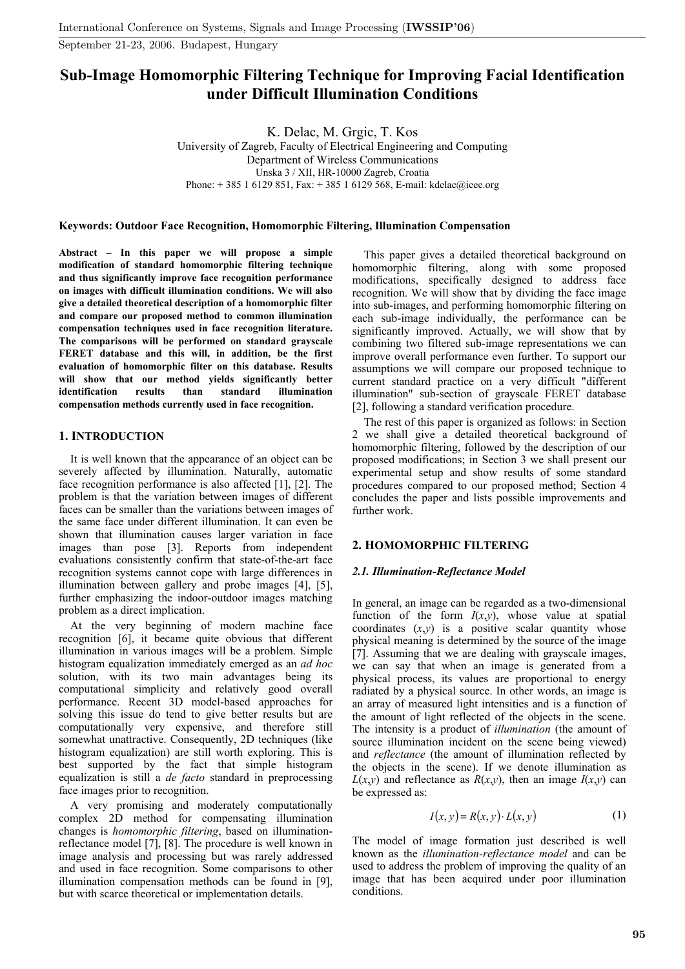# **Sub-Image Homomorphic Filtering Technique for Improving Facial Identification under Difficult Illumination Conditions**

K. Delac, M. Grgic, T. Kos University of Zagreb, Faculty of Electrical Engineering and Computing Department of Wireless Communications Unska 3 / XII, HR-10000 Zagreb, Croatia Phone: + 385 1 6129 851, Fax: + 385 1 6129 568, E-mail: kdelac@ieee.org

#### **Keywords: Outdoor Face Recognition, Homomorphic Filtering, Illumination Compensation**

**Abstract – In this paper we will propose a simple modification of standard homomorphic filtering technique and thus significantly improve face recognition performance on images with difficult illumination conditions. We will also give a detailed theoretical description of a homomorphic filter and compare our proposed method to common illumination compensation techniques used in face recognition literature. The comparisons will be performed on standard grayscale FERET database and this will, in addition, be the first evaluation of homomorphic filter on this database. Results will show that our method yields significantly better identification results than standard illumination compensation methods currently used in face recognition.** 

## **1. INTRODUCTION**

It is well known that the appearance of an object can be severely affected by illumination. Naturally, automatic face recognition performance is also affected [1], [2]. The problem is that the variation between images of different faces can be smaller than the variations between images of the same face under different illumination. It can even be shown that illumination causes larger variation in face images than pose [3]. Reports from independent evaluations consistently confirm that state-of-the-art face recognition systems cannot cope with large differences in illumination between gallery and probe images [4], [5], further emphasizing the indoor-outdoor images matching problem as a direct implication.

At the very beginning of modern machine face recognition [6], it became quite obvious that different illumination in various images will be a problem. Simple histogram equalization immediately emerged as an *ad hoc* solution, with its two main advantages being its computational simplicity and relatively good overall performance. Recent 3D model-based approaches for solving this issue do tend to give better results but are computationally very expensive, and therefore still somewhat unattractive. Consequently, 2D techniques (like histogram equalization) are still worth exploring. This is best supported by the fact that simple histogram equalization is still a *de facto* standard in preprocessing face images prior to recognition.

A very promising and moderately computationally complex 2D method for compensating illumination changes is *homomorphic filtering*, based on illuminationreflectance model [7], [8]. The procedure is well known in image analysis and processing but was rarely addressed and used in face recognition. Some comparisons to other illumination compensation methods can be found in [9], but with scarce theoretical or implementation details.

This paper gives a detailed theoretical background on homomorphic filtering, along with some proposed modifications, specifically designed to address face recognition. We will show that by dividing the face image into sub-images, and performing homomorphic filtering on each sub-image individually, the performance can be significantly improved. Actually, we will show that by combining two filtered sub-image representations we can improve overall performance even further. To support our assumptions we will compare our proposed technique to current standard practice on a very difficult "different illumination" sub-section of grayscale FERET database [2], following a standard verification procedure.

The rest of this paper is organized as follows: in Section 2 we shall give a detailed theoretical background of homomorphic filtering, followed by the description of our proposed modifications; in Section 3 we shall present our experimental setup and show results of some standard procedures compared to our proposed method; Section 4 concludes the paper and lists possible improvements and further work.

## **2. HOMOMORPHIC FILTERING**

## *2.1. Illumination-Reflectance Model*

In general, an image can be regarded as a two-dimensional function of the form  $I(x,y)$ , whose value at spatial coordinates  $(x,y)$  is a positive scalar quantity whose physical meaning is determined by the source of the image [7]. Assuming that we are dealing with grayscale images, we can say that when an image is generated from a physical process, its values are proportional to energy radiated by a physical source. In other words, an image is an array of measured light intensities and is a function of the amount of light reflected of the objects in the scene. The intensity is a product of *illumination* (the amount of source illumination incident on the scene being viewed) and *reflectance* (the amount of illumination reflected by the objects in the scene). If we denote illumination as  $L(x,y)$  and reflectance as  $R(x,y)$ , then an image  $I(x,y)$  can be expressed as:

$$
I(x, y) = R(x, y) \cdot L(x, y) \tag{1}
$$

The model of image formation just described is well known as the *illumination-reflectance model* and can be used to address the problem of improving the quality of an image that has been acquired under poor illumination conditions.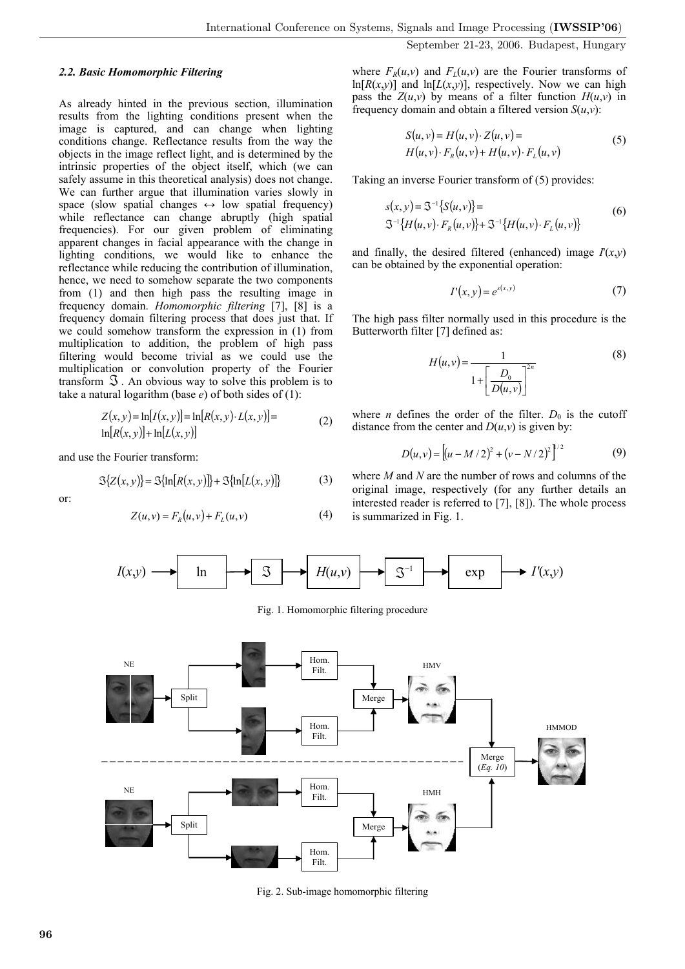## *2.2. Basic Homomorphic Filtering*

As already hinted in the previous section, illumination results from the lighting conditions present when the image is captured, and can change when lighting conditions change. Reflectance results from the way the objects in the image reflect light, and is determined by the intrinsic properties of the object itself, which (we can safely assume in this theoretical analysis) does not change. We can further argue that illumination varies slowly in space (slow spatial changes  $\leftrightarrow$  low spatial frequency) while reflectance can change abruptly (high spatial frequencies). For our given problem of eliminating apparent changes in facial appearance with the change in lighting conditions, we would like to enhance the reflectance while reducing the contribution of illumination, hence, we need to somehow separate the two components from (1) and then high pass the resulting image in frequency domain. *Homomorphic filtering* [7], [8] is a frequency domain filtering process that does just that. If we could somehow transform the expression in (1) from multiplication to addition, the problem of high pass filtering would become trivial as we could use the multiplication or convolution property of the Fourier transform  $\Im$ . An obvious way to solve this problem is to take a natural logarithm (base *e*) of both sides of (1):

$$
Z(x, y) = \ln[I(x, y)] = \ln[R(x, y) \cdot L(x, y)] =
$$
  
ln[R(x, y)] + ln[L(x, y)] (2)

and use the Fourier transform:

$$
\mathcal{S}\{Z(x, y)\} = \mathcal{S}\{\ln[R(x, y)]\} + \mathcal{S}\{\ln[L(x, y)]\}
$$
 (3)

or:

$$
Z(u, v) = F_R(u, v) + F_L(u, v)
$$
 (4)

where  $F_R(u, v)$  and  $F_L(u, v)$  are the Fourier transforms of  $ln[R(x,y)]$  and  $ln[L(x,y)]$ , respectively. Now we can high pass the  $Z(u, v)$  by means of a filter function  $H(u, v)$  in frequency domain and obtain a filtered version  $S(u, v)$ :

$$
S(u, v) = H(u, v) \cdot Z(u, v) = H(u, v) \cdot FR(u, v) + H(u, v) \cdot FL(u, v)
$$
 (5)

Taking an inverse Fourier transform of (5) provides:

$$
s(x, y) = S^{-1}{S(u, v)} =
$$
  
\n
$$
S^{-1}{H(u, v) \cdot F_R(u, v)} + S^{-1}{H(u, v) \cdot F_L(u, v)}
$$
\n(6)

and finally, the desired filtered (enhanced) image  $I'(x,y)$ can be obtained by the exponential operation:

$$
I'(x, y) = e^{s(x, y)}
$$
 (7)

The high pass filter normally used in this procedure is the Butterworth filter [7] defined as:

$$
H(u,v) = \frac{1}{1 + \left[\frac{D_0}{D(u,v)}\right]^{2n}}
$$
\n
$$
(8)
$$

where *n* defines the order of the filter.  $D_0$  is the cutoff distance from the center and  $D(u, v)$  is given by:

$$
D(u, v) = [(u - M/2)^{2} + (v - N/2)^{2}]^{1/2}
$$
 (9)

where *M* and *N* are the number of rows and columns of the original image, respectively (for any further details an interested reader is referred to [7], [8]). The whole process is summarized in Fig. 1.



Fig. 1. Homomorphic filtering procedure



Fig. 2. Sub-image homomorphic filtering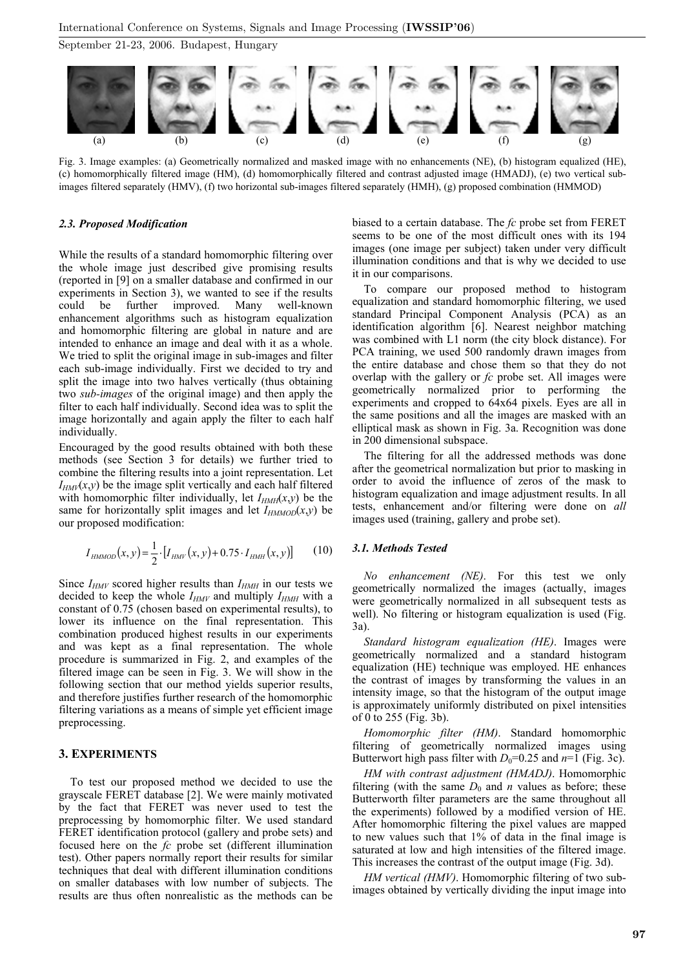

Fig. 3. Image examples: (a) Geometrically normalized and masked image with no enhancements (NE), (b) histogram equalized (HE), (c) homomorphically filtered image (HM), (d) homomorphically filtered and contrast adjusted image (HMADJ), (e) two vertical subimages filtered separately (HMV), (f) two horizontal sub-images filtered separately (HMH), (g) proposed combination (HMMOD)

## *2.3. Proposed Modification*

While the results of a standard homomorphic filtering over the whole image just described give promising results (reported in [9] on a smaller database and confirmed in our experiments in Section 3), we wanted to see if the results could be further improved. Many well-known enhancement algorithms such as histogram equalization and homomorphic filtering are global in nature and are intended to enhance an image and deal with it as a whole. We tried to split the original image in sub-images and filter each sub-image individually. First we decided to try and split the image into two halves vertically (thus obtaining two *sub-images* of the original image) and then apply the filter to each half individually. Second idea was to split the image horizontally and again apply the filter to each half individually.

Encouraged by the good results obtained with both these methods (see Section 3 for details) we further tried to combine the filtering results into a joint representation. Let  $I_{HMI}(x, y)$  be the image split vertically and each half filtered with homomorphic filter individually, let  $I_{HMH}(x, y)$  be the same for horizontally split images and let  $I_{HMMOD}(x, y)$  be our proposed modification:

$$
I_{HMMOD}(x, y) = \frac{1}{2} \cdot [I_{HMI}(x, y) + 0.75 \cdot I_{HMH}(x, y)] \tag{10}
$$

Since  $I_{HMV}$  scored higher results than  $I_{HMH}$  in our tests we decided to keep the whole  $I_{HMV}$  and multiply  $I_{HMH}$  with a constant of 0.75 (chosen based on experimental results), to lower its influence on the final representation. This combination produced highest results in our experiments and was kept as a final representation. The whole procedure is summarized in Fig. 2, and examples of the filtered image can be seen in Fig. 3. We will show in the following section that our method yields superior results, and therefore justifies further research of the homomorphic filtering variations as a means of simple yet efficient image preprocessing.

## **3. EXPERIMENTS**

To test our proposed method we decided to use the grayscale FERET database [2]. We were mainly motivated by the fact that FERET was never used to test the preprocessing by homomorphic filter. We used standard FERET identification protocol (gallery and probe sets) and focused here on the *fc* probe set (different illumination test). Other papers normally report their results for similar techniques that deal with different illumination conditions on smaller databases with low number of subjects. The results are thus often nonrealistic as the methods can be biased to a certain database. The *fc* probe set from FERET seems to be one of the most difficult ones with its 194 images (one image per subject) taken under very difficult illumination conditions and that is why we decided to use it in our comparisons.

To compare our proposed method to histogram equalization and standard homomorphic filtering, we used standard Principal Component Analysis (PCA) as an identification algorithm [6]. Nearest neighbor matching was combined with L1 norm (the city block distance). For PCA training, we used 500 randomly drawn images from the entire database and chose them so that they do not overlap with the gallery or *fc* probe set. All images were geometrically normalized prior to performing the experiments and cropped to 64x64 pixels. Eyes are all in the same positions and all the images are masked with an elliptical mask as shown in Fig. 3a. Recognition was done in 200 dimensional subspace.

The filtering for all the addressed methods was done after the geometrical normalization but prior to masking in order to avoid the influence of zeros of the mask to histogram equalization and image adjustment results. In all tests, enhancement and/or filtering were done on *all* images used (training, gallery and probe set).

## *3.1. Methods Tested*

*No enhancement (NE)*. For this test we only geometrically normalized the images (actually, images were geometrically normalized in all subsequent tests as well). No filtering or histogram equalization is used (Fig. 3a).

*Standard histogram equalization (HE)*. Images were geometrically normalized and a standard histogram equalization (HE) technique was employed. HE enhances the contrast of images by transforming the values in an intensity image, so that the histogram of the output image is approximately uniformly distributed on pixel intensities of 0 to 255 (Fig. 3b).

*Homomorphic filter (HM)*. Standard homomorphic filtering of geometrically normalized images using Butterwort high pass filter with  $D_0=0.25$  and  $n=1$  (Fig. 3c).

*HM with contrast adjustment (HMADJ)*. Homomorphic filtering (with the same  $D_0$  and *n* values as before; these Butterworth filter parameters are the same throughout all the experiments) followed by a modified version of HE. After homomorphic filtering the pixel values are mapped to new values such that 1% of data in the final image is saturated at low and high intensities of the filtered image. This increases the contrast of the output image (Fig. 3d).

*HM vertical (HMV)*. Homomorphic filtering of two subimages obtained by vertically dividing the input image into